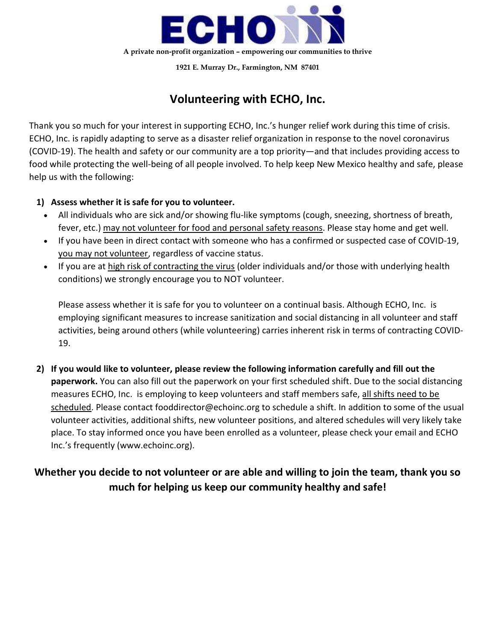

1921 E. Murray Dr., Farmington, NM 87401

## Volunteering with ECHO, Inc.

Thank you so much for your interest in supporting ECHO, Inc.'s hunger relief work during this time of crisis. ECHO, Inc. is rapidly adapting to serve as a disaster relief organization in response to the novel coronavirus (COVID-19). The health and safety or our community are a top priority—and that includes providing access to food while protecting the well-being of all people involved. To help keep New Mexico healthy and safe, please help us with the following:

### 1) Assess whether it is safe for you to volunteer.

- All individuals who are sick and/or showing flu-like symptoms (cough, sneezing, shortness of breath, fever, etc.) may not volunteer for food and personal safety reasons. Please stay home and get well.
- If you have been in direct contact with someone who has a confirmed or suspected case of COVID-19, you may not volunteer, regardless of vaccine status.
- If you are at high risk of contracting the virus (older individuals and/or those with underlying health conditions) we strongly encourage you to NOT volunteer.

Please assess whether it is safe for you to volunteer on a continual basis. Although ECHO, Inc. is employing significant measures to increase sanitization and social distancing in all volunteer and staff activities, being around others (while volunteering) carries inherent risk in terms of contracting COVID-19.

2) If you would like to volunteer, please review the following information carefully and fill out the **paperwork.** You can also fill out the paperwork on your first scheduled shift. Due to the social distancing measures ECHO, Inc. is employing to keep volunteers and staff members safe, all shifts need to be scheduled. Please contact fooddirector@echoinc.org to schedule a shift. In addition to some of the usual volunteer activities, additional shifts, new volunteer positions, and altered schedules will very likely take place. To stay informed once you have been enrolled as a volunteer, please check your email and ECHO Inc.'s frequently (www.echoinc.org).

## Whether you decide to not volunteer or are able and willing to join the team, thank you so much for helping us keep our community healthy and safe!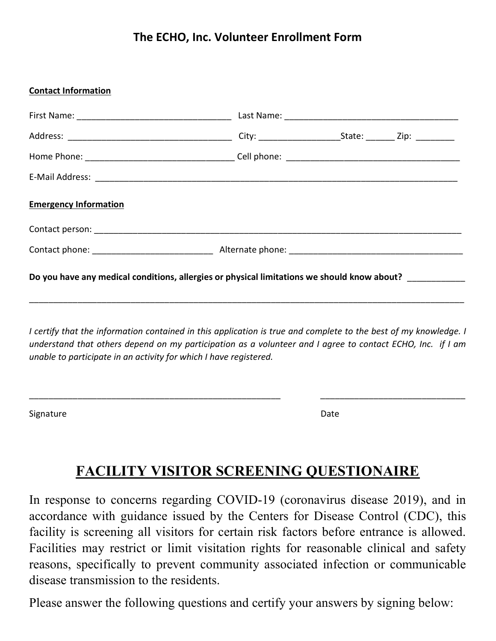## The ECHO, Inc. Volunteer Enrollment Form

#### Contact Information

| <b>Emergency Information</b>                                                                         |  |  |  |  |  |
|------------------------------------------------------------------------------------------------------|--|--|--|--|--|
|                                                                                                      |  |  |  |  |  |
|                                                                                                      |  |  |  |  |  |
| Do you have any medical conditions, allergies or physical limitations we should know about? ________ |  |  |  |  |  |
|                                                                                                      |  |  |  |  |  |

I certify that the information contained in this application is true and complete to the best of my knowledge. I understand that others depend on my participation as a volunteer and I agree to contact ECHO, Inc. if I am unable to participate in an activity for which I have registered.

\_\_\_\_\_\_\_\_\_\_\_\_\_\_\_\_\_\_\_\_\_\_\_\_\_\_\_\_\_\_\_\_\_\_\_\_\_\_\_\_\_\_\_\_\_\_\_\_\_\_\_\_ \_\_\_\_\_\_\_\_\_\_\_\_\_\_\_\_\_\_\_\_\_\_\_\_\_\_\_\_\_\_

Signature Date Date Communications and the Date Date Date Date

# FACILITY VISITOR SCREENING QUESTIONAIRE

In response to concerns regarding COVID-19 (coronavirus disease 2019), and in accordance with guidance issued by the Centers for Disease Control (CDC), this facility is screening all visitors for certain risk factors before entrance is allowed. Facilities may restrict or limit visitation rights for reasonable clinical and safety reasons, specifically to prevent community associated infection or communicable disease transmission to the residents.

Please answer the following questions and certify your answers by signing below: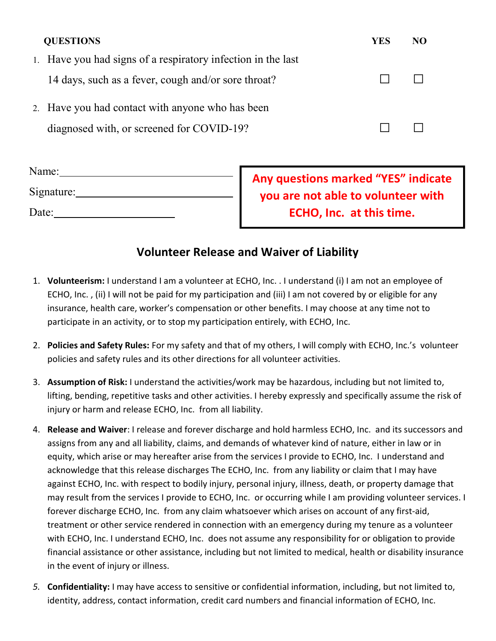| <b>QUESTIONS</b>                                             | YES | NO |
|--------------------------------------------------------------|-----|----|
| 1. Have you had signs of a respiratory infection in the last |     |    |
| 14 days, such as a fever, cough and/or sore throat?          |     |    |
| 2. Have you had contact with anyone who has been             |     |    |
| diagnosed with, or screened for COVID-19?                    |     |    |

| Name:      |  |
|------------|--|
| Signature: |  |
| Date:      |  |

Any questions marked "YES" indicate you are not able to volunteer with ECHO, Inc. at this time.

## Volunteer Release and Waiver of Liability

- 1. Volunteerism: I understand I am a volunteer at ECHO, Inc. . I understand (i) I am not an employee of ECHO, Inc. , (ii) I will not be paid for my participation and (iii) I am not covered by or eligible for any insurance, health care, worker's compensation or other benefits. I may choose at any time not to participate in an activity, or to stop my participation entirely, with ECHO, Inc.
- 2. Policies and Safety Rules: For my safety and that of my others, I will comply with ECHO, Inc.'s volunteer policies and safety rules and its other directions for all volunteer activities.
- 3. Assumption of Risk: I understand the activities/work may be hazardous, including but not limited to, lifting, bending, repetitive tasks and other activities. I hereby expressly and specifically assume the risk of injury or harm and release ECHO, Inc. from all liability.
- 4. Release and Waiver: I release and forever discharge and hold harmless ECHO, Inc. and its successors and assigns from any and all liability, claims, and demands of whatever kind of nature, either in law or in equity, which arise or may hereafter arise from the services I provide to ECHO, Inc. I understand and acknowledge that this release discharges The ECHO, Inc. from any liability or claim that I may have against ECHO, Inc. with respect to bodily injury, personal injury, illness, death, or property damage that may result from the services I provide to ECHO, Inc. or occurring while I am providing volunteer services. I forever discharge ECHO, Inc. from any claim whatsoever which arises on account of any first-aid, treatment or other service rendered in connection with an emergency during my tenure as a volunteer with ECHO, Inc. I understand ECHO, Inc. does not assume any responsibility for or obligation to provide financial assistance or other assistance, including but not limited to medical, health or disability insurance in the event of injury or illness.
- 5. Confidentiality: I may have access to sensitive or confidential information, including, but not limited to, identity, address, contact information, credit card numbers and financial information of ECHO, Inc.